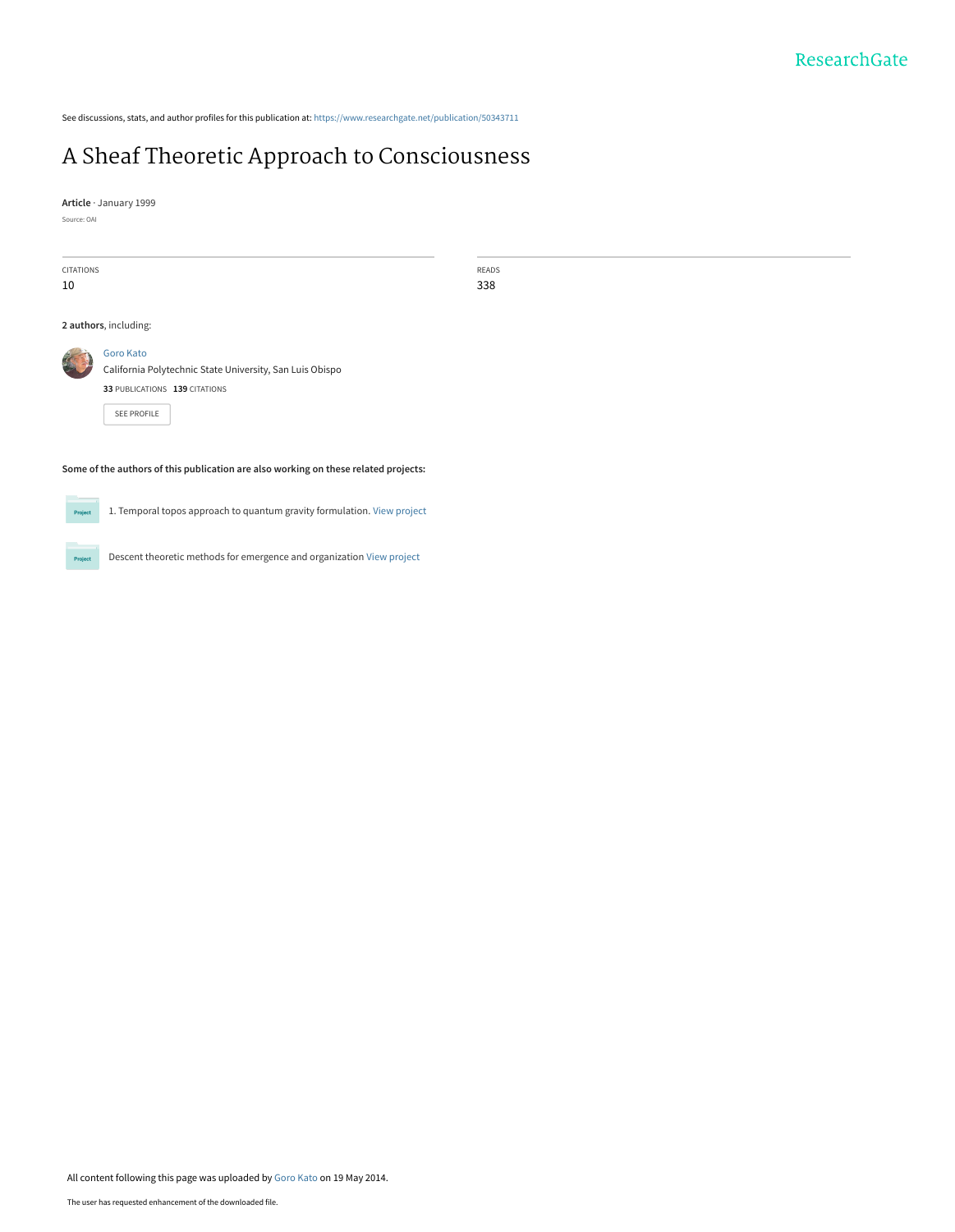See discussions, stats, and author profiles for this publication at: [https://www.researchgate.net/publication/50343711](https://www.researchgate.net/publication/50343711_A_Sheaf_Theoretic_Approach_to_Consciousness?enrichId=rgreq-f8034bd4d42bca934901bc7f035b7b07-XXX&enrichSource=Y292ZXJQYWdlOzUwMzQzNzExO0FTOjk4NTg1NzIzMDE1MTc4QDE0MDA1MTYwNzY0MjU%3D&el=1_x_2&_esc=publicationCoverPdf)

# [A Sheaf Theoretic Approach to Consciousness](https://www.researchgate.net/publication/50343711_A_Sheaf_Theoretic_Approach_to_Consciousness?enrichId=rgreq-f8034bd4d42bca934901bc7f035b7b07-XXX&enrichSource=Y292ZXJQYWdlOzUwMzQzNzExO0FTOjk4NTg1NzIzMDE1MTc4QDE0MDA1MTYwNzY0MjU%3D&el=1_x_3&_esc=publicationCoverPdf)

READS 338

**Article** · January 1999

Source: OAI

| <b>CITATIONS</b>      |                                                          |
|-----------------------|----------------------------------------------------------|
| 10                    |                                                          |
|                       |                                                          |
|                       |                                                          |
| 2 authors, including: |                                                          |
|                       |                                                          |
|                       | Goro Kato                                                |
|                       | California Polytechnic State University, San Luis Obispo |
|                       |                                                          |
|                       | 33 PUBLICATIONS 139 CITATIONS                            |
|                       |                                                          |
|                       | <b>SEE PROFILE</b>                                       |
|                       |                                                          |
|                       |                                                          |
|                       |                                                          |

### **Some of the authors of this publication are also working on these related projects:**

**Project** 

1. Temporal topos approach to quantum gravity formulation. [View project](https://www.researchgate.net/project/1-Temporal-topos-approach-to-quantum-gravity-formulation?enrichId=rgreq-f8034bd4d42bca934901bc7f035b7b07-XXX&enrichSource=Y292ZXJQYWdlOzUwMzQzNzExO0FTOjk4NTg1NzIzMDE1MTc4QDE0MDA1MTYwNzY0MjU%3D&el=1_x_9&_esc=publicationCoverPdf)

Projec

Descent theoretic methods for emergence and organization [View project](https://www.researchgate.net/project/Descent-theoretic-methods-for-emergence-and-organization?enrichId=rgreq-f8034bd4d42bca934901bc7f035b7b07-XXX&enrichSource=Y292ZXJQYWdlOzUwMzQzNzExO0FTOjk4NTg1NzIzMDE1MTc4QDE0MDA1MTYwNzY0MjU%3D&el=1_x_9&_esc=publicationCoverPdf)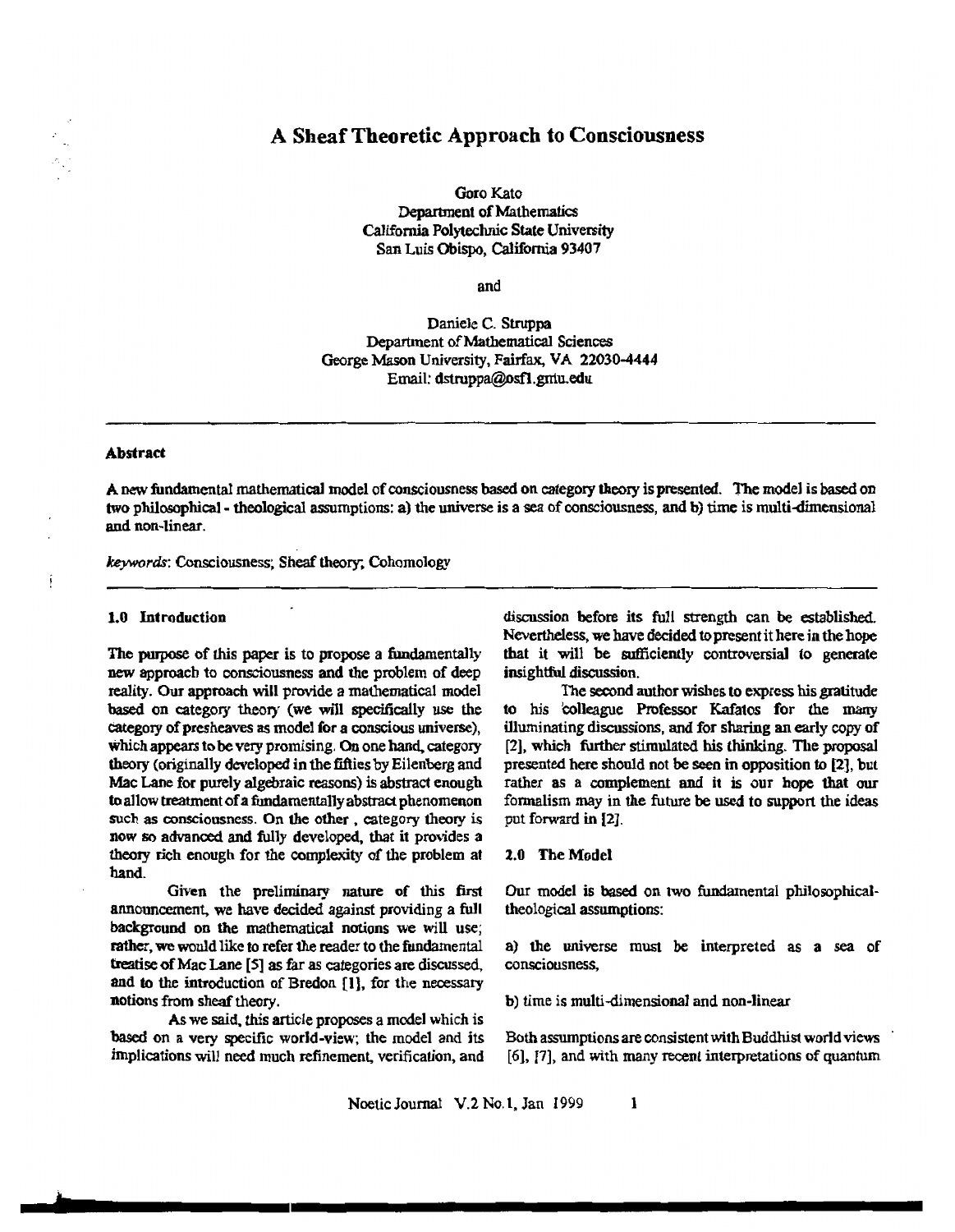# A Sheaf Theoretic Approach to Consciousness

Goro Kato Department of Mathematics California Polytechnic State University San Luis Obispo, California 93407

and� and

Daniele C. Struppa Department of Mathematical Sciences George Mason University, Fairfax, VA 22030-4444 Email: dstruppa@osfl.gniu.edu

# **Abstract**

A new fundamental mathematical model of consciousness based on category theory is presented. The model is based on two philosophical - theological assumptions: a) the universe is a sea of consciousness, and b) time is multi-dimensional and non-linear.

keywords: Consciousness; Sheaf theory; Cohomology

## 1.0 Introduction

The purpose of this paper is to propose a fundamentally new approach to consciousness and the problem of deep reality. Our approach will provide a mathematical model based on category theory (we will specifically use the category of presheaves as model for a conscious universe), which appears to be very promising. On one hand, category theory (originally developed in the fifties by Eilenberg and Mac Lane for purely algebraic reasons) is abstract enough to allow treatment of a fundamentally abstract phenomenon such as consciousness. On the other, category theory is now so advanced and fully developed, that it provides a theory rich enough for the complexity of the problem at hand. hand.

Given the preliminary nature of this first announcement, we have decided against providing a full background on the mathematical notions we will use; rather, we would like to refer the reader to the fundamental treatise of Mac Lane [5] as far as categories are discussed, and to the introduction of Bredon [1], for the necessary notions from sheaf theory.

As we said, this article proposes a model which is based on a very specific world-view; the model and its implications will need much refinement, verification, and discussion before its full strength can be established. Nevertheless, we have decided to present it here in the hope that it will be sufficiently controversial to generate insightful discussion.

The second author wishes to express his gratitude to his colleague Professor Kafatos for the many illuminating discussions, and for sharing an early copy of [2], which further stimulated his thinking. The proposal presented here should not be seen in opposition to [2], but rather as a complement and it is our hope that our formalism may in the future be used to support the ideas put forward in [2].

# 2.0 The Model

Our model is based on two fundamental philosophicaltheological assumptions:

a) the universe must be interpreted as a sea of consciousness, consciousness,

b) time is multi-dimensional and non-linear

Both assumptions are consistent with Buddhist world views [6]. [7], and with many recent interpretations of quantum

Noetic Journal V.2 No.1, Jan 1999 1

**.... 11 \_\_**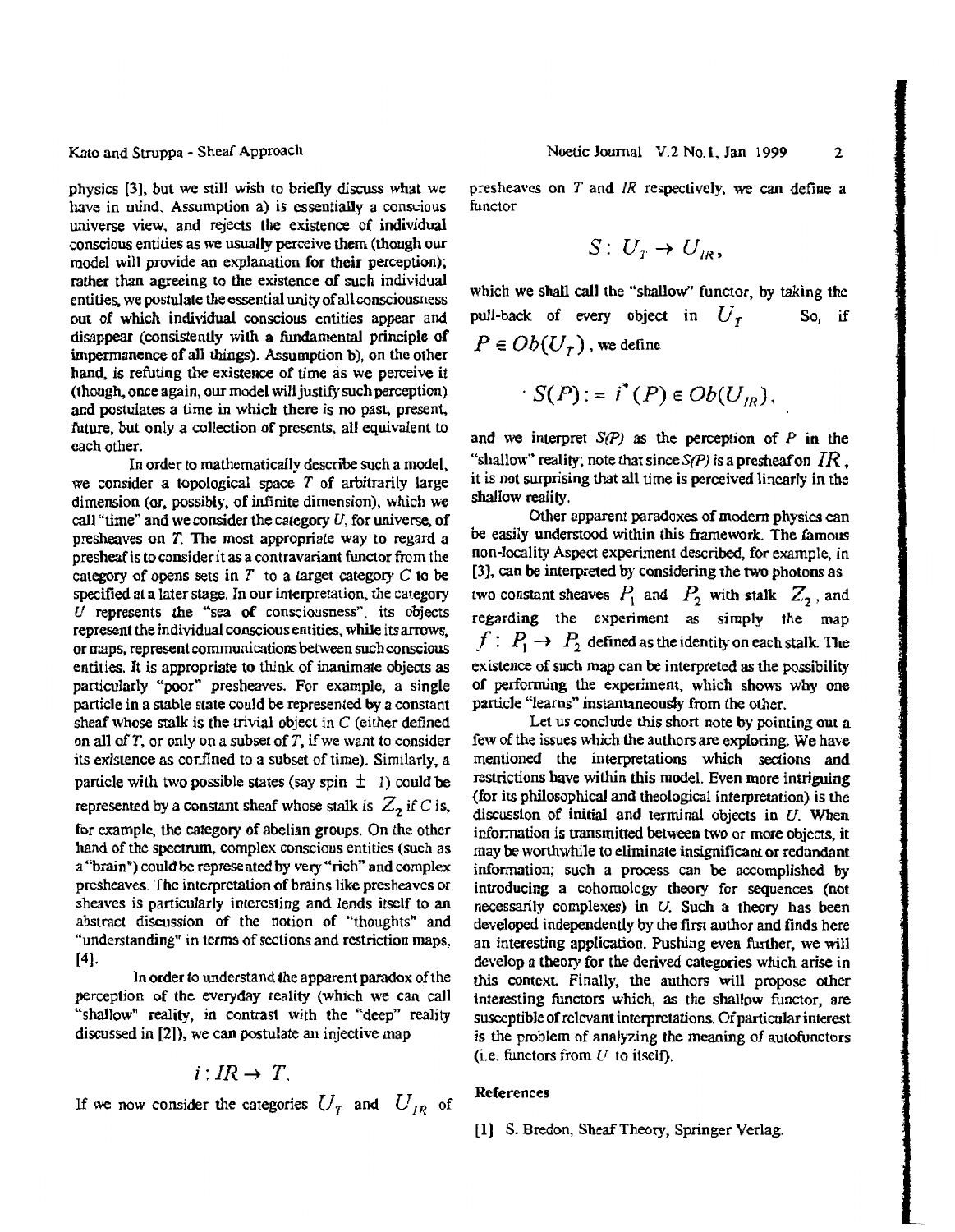Kato and Struppa - Sheaf Approach

physics [3], but we still wish to briefly discuss what we have in mind. Assumption a) is essentially a conscious universe view, and rejects the existence of individual conscious entities as we usually perceive them (though our model will provide an explanation for their perception); rather than agreeing to the existence of such individual entities, we postulate the essential unity of all consciousness out of which individual conscious entities appear and disappear (consistently with a fundamental principle of impermanence of all things). Assumption b), on the other hand, is refuting the existence of time as we perceive it  $($ though, once again, our model will justify such perception $)$ and postulates a time in which there is no past, present, future, but only a collection of presents, all equivalent to each other.

In order to mathematically describe such a model, we consider a topological space  $T$  of arbitrarily large dimension (or, possibly, of infinite dimension), which we call "time" and we consider the category  $U$ , for universe, of presheaves on  $T$ . The most appropriate way to regard a presheaf is to consider it as a contravariant functor from the category of opens sets in T to a target category C to be specified at a later stage. In our interpretation, the category U represents the "sea of consciousness", its objects represent the individual conscious entities, while its arrows, or maps, represent communications between such conscious entities. It is appropriate to think of inanimate objects as particularly "poor" presheaves. For example, a single particle in a stable state could be represented by a constant sheaf whose stalk is the trivial object in  $C$  (either defined on all of T, or only on a subset of T, if we want to consider its existence as confined to a subset of time). Similarly, a particle with two possible states (say spin  $\pm$  1) could be represented by a constant sheaf whose stalk is  $Z_2$  if C is, for example, the category of abelian groups. On the other hand of the spectrum. complex conscious entities (such as a "brain") could be represented by very "rich" and complex presheaves. The interpretation of brains like presheaves or sheaves is particularly interesting and lends itself to an abstract discussion of the notion of "thoughts" and "understanding" in terms of sections and restriction maps,  $[4]$ .

In order to understand the apparent paradox of the perception of the everyday reality (which we can call "shallow" reality, in contrast with the "deep" reality discussed in [2]), we can postulate an injective map

$$
i:IR\rightarrow T.
$$

If we now consider the categories  $U_T$  and  $U_{IR}$  of

presheaves on  $T$  and  $IR$  respectively, we can define a functor

$$
S\colon U_{\scriptscriptstyle T}\to U_{\scriptscriptstyle IR},
$$

which we shall call the "shallow" functor, by taking the pull-back of every object in  $U_T$  So, if  $P \in Ob(U_{\tau})$ , we define

$$
S(P) := i^*(P) \in Ob(U_R),
$$

and we interpret  $S(P)$  as the perception of  $P$  in the "shallow" reality; note that since  $S(P)$  is a presheaf on  $IR$ , it is not surprising that all time is perceived linearly in the shallow reality.

Other apparent paradoxes of modern physics can be easily understood within this framework. The famous non-locality Aspect experiment described, for example, in  $[3]$ , can be interpreted by considering the two photons as two constant sheaves  $P_1$  and  $P_2$  with stalk  $Z_2$ , and regarding the experiment as simply the map  $f: P_1 \rightarrow P_2$  defined as the identity on each stalk. The existence of such map can be interpreted as the possibility of performing the experiment, which shows why one particle "learns" instantaneously from the other.

Let us conclude this short note by pointing out a few of the issues which the authors are exploring. We have mentioned the interpretations which sections and restrictions have within this model. Even more intriguing (for its philosophical and theological interpretation) is the discussion of initial and terminal objects in  $U$ . When information is transmitted between two or more objects, it may be worthwhile to eliminate insignificant or redundant information; such a process can be accomplished by introducing a cohomology theory for sequences (not necessarily complexes) in  $U$ . Such a theory has been developed independently by the first author and finds here an interesting application. Pushing even further, we will develop a theory for the derived categories which arise in this context. Finally, the authors will propose other interesting functors which, as the shallow functor, are susceptible of relevant interpretations. Of particular interest is the problem of analyzing the meaning of autofunctors (i.e. functors from  $U$  to itself).

### **References**

[1] S. Bredon, Sheaf Theory, Springer Verlag.